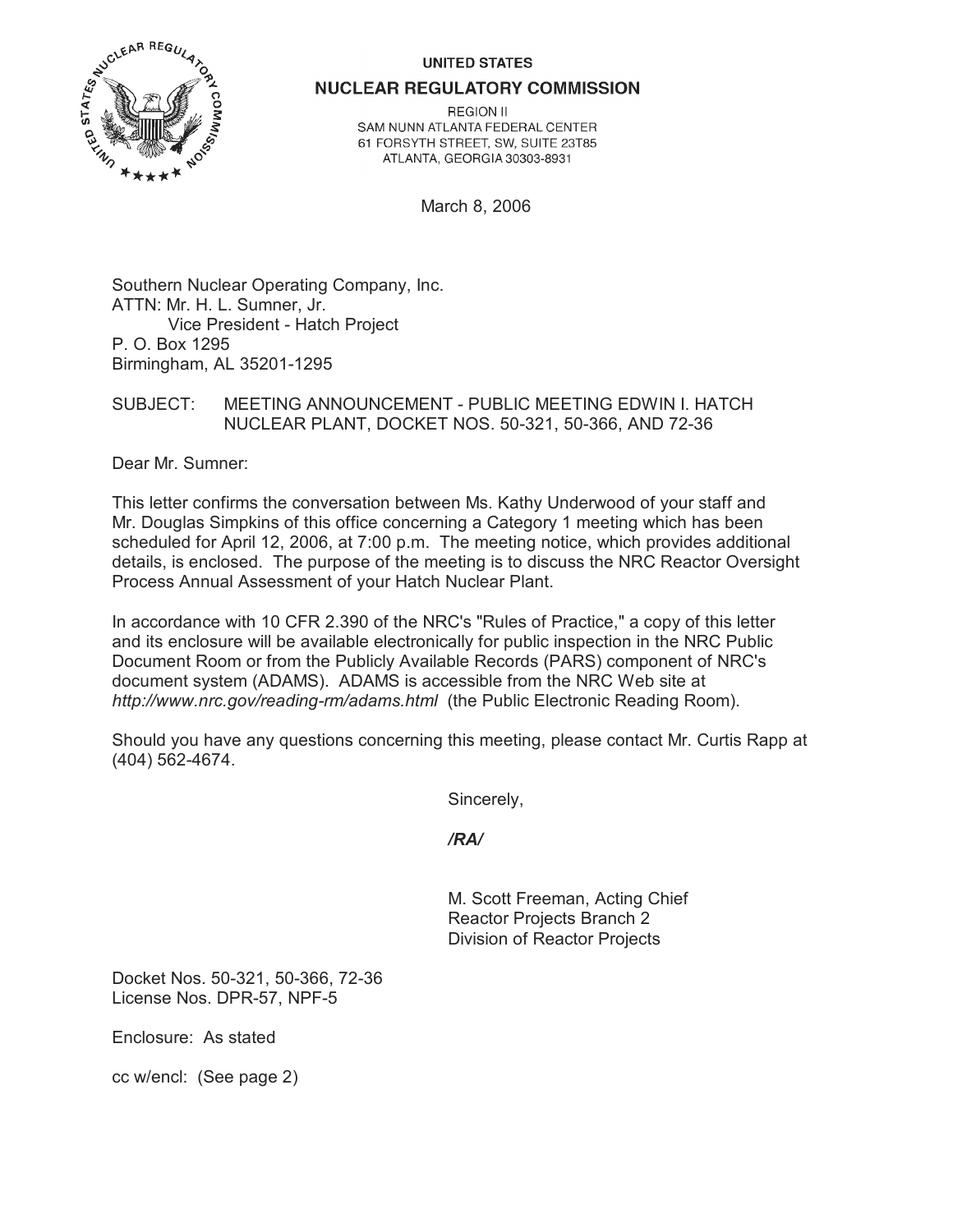### **UNITED STATES**



**NUCLEAR REGULATORY COMMISSION** 

**REGION II** SAM NUNN ATLANTA FEDERAL CENTER 61 FORSYTH STREET, SW, SUITE 23T85 ATLANTA, GEORGIA 30303-8931

March 8, 2006

Southern Nuclear Operating Company, Inc. ATTN: Mr. H. L. Sumner, Jr. Vice President - Hatch Project P. O. Box 1295 Birmingham, AL 35201-1295

SUBJECT: MEETING ANNOUNCEMENT - PUBLIC MEETING EDWIN I. HATCH NUCLEAR PLANT, DOCKET NOS. 50-321, 50-366, AND 72-36

Dear Mr. Sumner:

This letter confirms the conversation between Ms. Kathy Underwood of your staff and Mr. Douglas Simpkins of this office concerning a Category 1 meeting which has been scheduled for April 12, 2006, at 7:00 p.m. The meeting notice, which provides additional details, is enclosed. The purpose of the meeting is to discuss the NRC Reactor Oversight Process Annual Assessment of your Hatch Nuclear Plant.

In accordance with 10 CFR 2.390 of the NRC's "Rules of Practice," a copy of this letter and its enclosure will be available electronically for public inspection in the NRC Public Document Room or from the Publicly Available Records (PARS) component of NRC's document system (ADAMS). ADAMS is accessible from the NRC Web site at *http://www.nrc.gov/reading-rm/adams.html* (the Public Electronic Reading Room).

Should you have any questions concerning this meeting, please contact Mr. Curtis Rapp at (404) 562-4674.

Sincerely,

# */RA/*

M. Scott Freeman, Acting Chief Reactor Projects Branch 2 Division of Reactor Projects

Docket Nos. 50-321, 50-366, 72-36 License Nos. DPR-57, NPF-5

Enclosure: As stated

cc w/encl: (See page 2)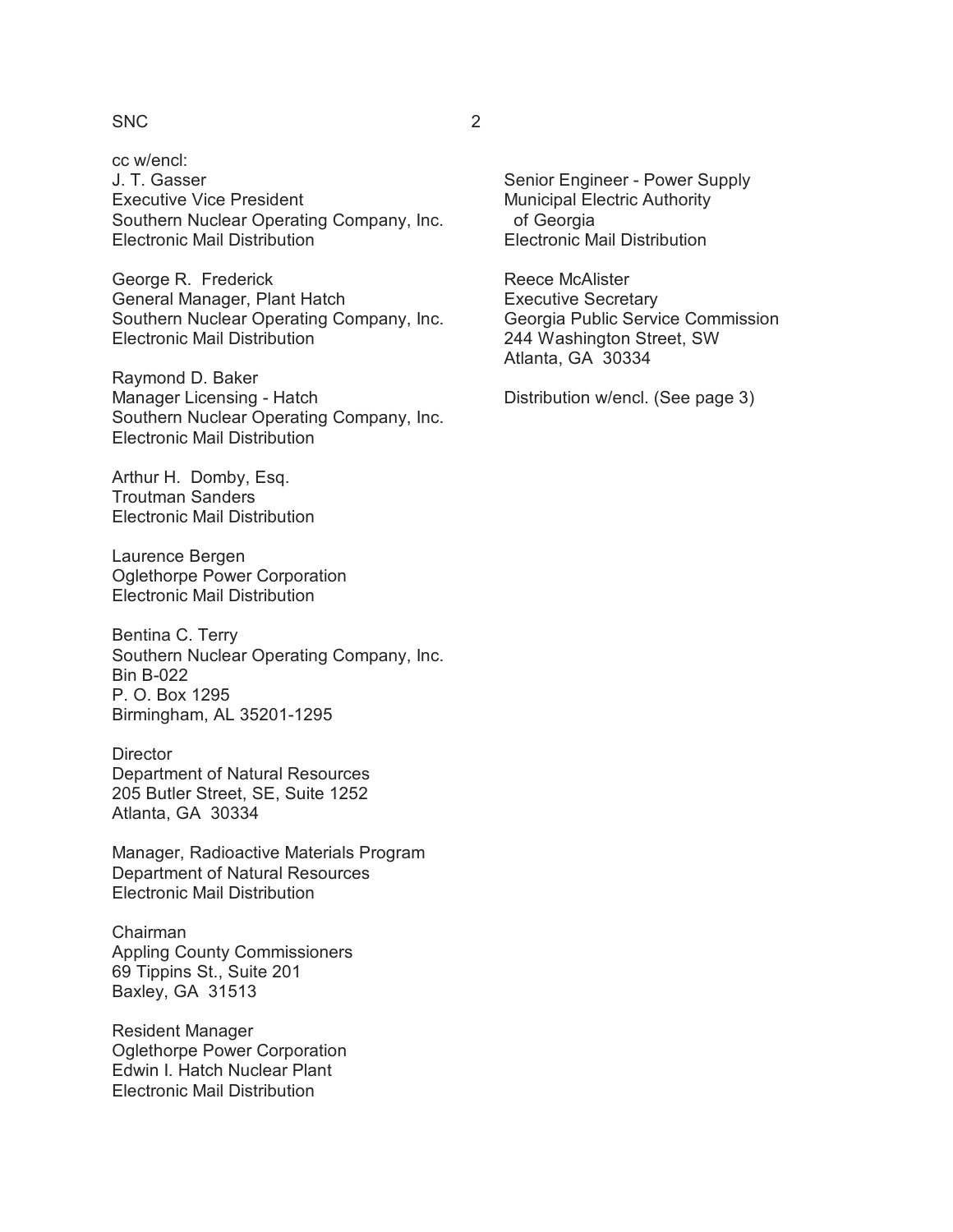# SNC 2

cc w/encl: J. T. Gasser Executive Vice President Southern Nuclear Operating Company, Inc. Electronic Mail Distribution

George R. Frederick General Manager, Plant Hatch Southern Nuclear Operating Company, Inc. Electronic Mail Distribution

Raymond D. Baker Manager Licensing - Hatch Southern Nuclear Operating Company, Inc. Electronic Mail Distribution

Arthur H. Domby, Esq. Troutman Sanders Electronic Mail Distribution

Laurence Bergen Oglethorpe Power Corporation Electronic Mail Distribution

Bentina C. Terry Southern Nuclear Operating Company, Inc. Bin B-022 P. O. Box 1295 Birmingham, AL 35201-1295

**Director** Department of Natural Resources 205 Butler Street, SE, Suite 1252 Atlanta, GA 30334

Manager, Radioactive Materials Program Department of Natural Resources Electronic Mail Distribution

Chairman Appling County Commissioners 69 Tippins St., Suite 201 Baxley, GA 31513

Resident Manager Oglethorpe Power Corporation Edwin I. Hatch Nuclear Plant Electronic Mail Distribution

Senior Engineer - Power Supply Municipal Electric Authority of Georgia Electronic Mail Distribution

Reece McAlister Executive Secretary Georgia Public Service Commission 244 Washington Street, SW Atlanta, GA 30334

Distribution w/encl. (See page 3)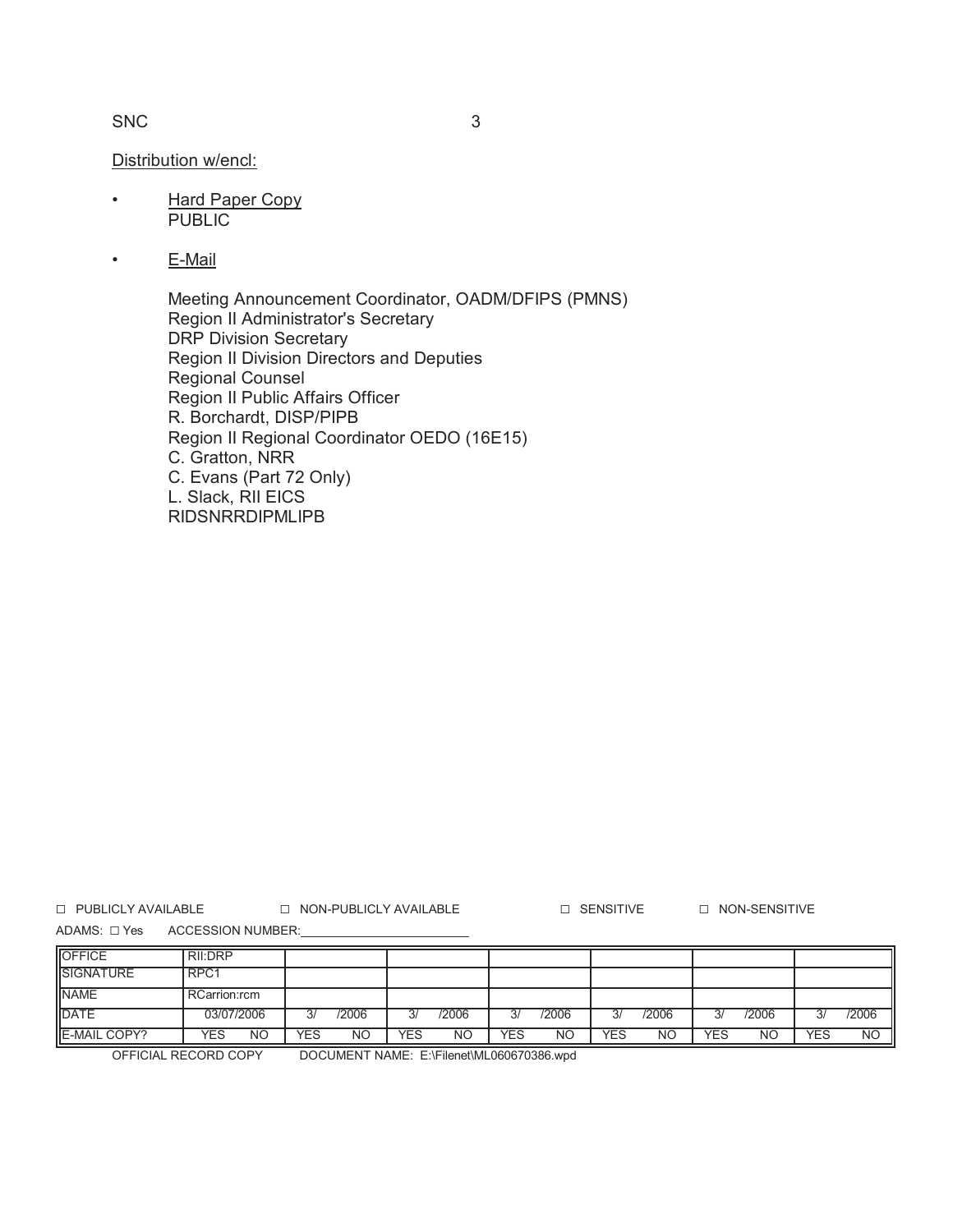# SNC 3

### Distribution w/encl:

- Hard Paper Copy PUBLIC
- E-Mail

Meeting Announcement Coordinator, OADM/DFIPS (PMNS) Region II Administrator's Secretary DRP Division Secretary Region II Division Directors and Deputies Regional Counsel Region II Public Affairs Officer R. Borchardt, DISP/PIPB Region II Regional Coordinator OEDO (16E15) C. Gratton, NRR C. Evans (Part 72 Only) L. Slack, RII EICS RIDSNRRDIPMLIPB

G PUBLICLY AVAILABLE G NON-PUBLICLY AVAILABLE G SENSITIVE G NON-SENSITIVE

ADAMS:  $\square$  Yes ACCESSION NUMBER:

| <b>OFFICE</b>       | <b>RII:DRP</b> |     |       |     |           |     |           |            |           |            |       |            |                |
|---------------------|----------------|-----|-------|-----|-----------|-----|-----------|------------|-----------|------------|-------|------------|----------------|
| <b>SIGNATURE</b>    | RPC1           |     |       |     |           |     |           |            |           |            |       |            |                |
| <b>NAME</b>         | RCarrion:rcm   |     |       |     |           |     |           |            |           |            |       |            |                |
| <b>IDATE</b>        | 03/07/2006     | 3/  | /2006 | 3/  | /2006     | 3/  | /2006     | 3/         | /2006     | 3/         | /2006 | 3/         | /2006          |
| <b>E-MAIL COPY?</b> | YES<br>NΟ      | YES | ΝO    | YES | <b>NO</b> | YES | <b>NC</b> | <b>YES</b> | <b>NO</b> | <b>YES</b> | ΝO    | <b>YES</b> | N <sub>O</sub> |

OFFICIAL RECORD COPY DOCUMENT NAME: E:\Filenet\ML060670386.wpd